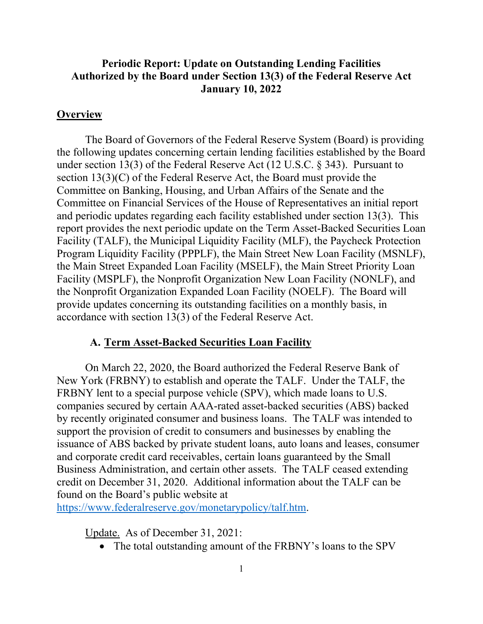## **Periodic Report: Update on Outstanding Lending Facilities Authorized by the Board under Section 13(3) of the Federal Reserve Act January 10, 2022**

### **Overview**

The Board of Governors of the Federal Reserve System (Board) is providing the following updates concerning certain lending facilities established by the Board under section 13(3) of the Federal Reserve Act (12 U.S.C. § 343). Pursuant to section 13(3)(C) of the Federal Reserve Act, the Board must provide the Committee on Banking, Housing, and Urban Affairs of the Senate and the Committee on Financial Services of the House of Representatives an initial report and periodic updates regarding each facility established under section 13(3). This report provides the next periodic update on the Term Asset-Backed Securities Loan Facility (TALF), the Municipal Liquidity Facility (MLF), the Paycheck Protection Program Liquidity Facility (PPPLF), the Main Street New Loan Facility (MSNLF), the Main Street Expanded Loan Facility (MSELF), the Main Street Priority Loan Facility (MSPLF), the Nonprofit Organization New Loan Facility (NONLF), and the Nonprofit Organization Expanded Loan Facility (NOELF). The Board will provide updates concerning its outstanding facilities on a monthly basis, in accordance with section 13(3) of the Federal Reserve Act.

#### **A. Term Asset-Backed Securities Loan Facility**

On March 22, 2020, the Board authorized the Federal Reserve Bank of New York (FRBNY) to establish and operate the TALF. Under the TALF, the FRBNY lent to a special purpose vehicle (SPV), which made loans to U.S. companies secured by certain AAA-rated asset-backed securities (ABS) backed by recently originated consumer and business loans. The TALF was intended to support the provision of credit to consumers and businesses by enabling the issuance of ABS backed by private student loans, auto loans and leases, consumer and corporate credit card receivables, certain loans guaranteed by the Small Business Administration, and certain other assets. The TALF ceased extending credit on December 31, 2020. Additional information about the TALF can be found on the Board's public website at

https://www.federalreserve.gov/monetarypolicy/talf.htm.

Update. As of December 31, 2021:

• The total outstanding amount of the FRBNY's loans to the SPV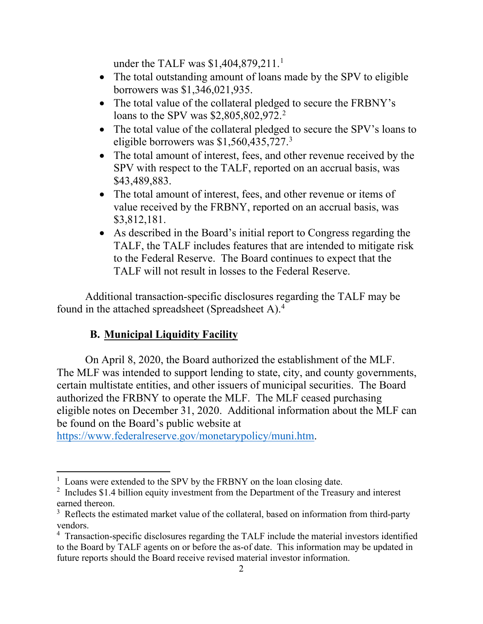under the TALF was \$1,404,879,211.<sup>1</sup>

- The total outstanding amount of loans made by the SPV to eligible borrowers was \$1,346,021,935.
- The total value of the collateral pledged to secure the FRBNY's loans to the SPV was \$2,805,802,972.<sup>2</sup>
- The total value of the collateral pledged to secure the SPV's loans to eligible borrowers was \$1,560,435,727. 3
- The total amount of interest, fees, and other revenue received by the SPV with respect to the TALF, reported on an accrual basis, was \$43,489,883.
- The total amount of interest, fees, and other revenue or items of value received by the FRBNY, reported on an accrual basis, was \$3,812,181.
- As described in the Board's initial report to Congress regarding the TALF, the TALF includes features that are intended to mitigate risk to the Federal Reserve. The Board continues to expect that the TALF will not result in losses to the Federal Reserve.

Additional transaction-specific disclosures regarding the TALF may be found in the attached spreadsheet (Spreadsheet A).4

# **B. Municipal Liquidity Facility**

On April 8, 2020, the Board authorized the establishment of the MLF. The MLF was intended to support lending to state, city, and county governments, certain multistate entities, and other issuers of municipal securities. The Board authorized the FRBNY to operate the MLF. The MLF ceased purchasing eligible notes on December 31, 2020. Additional information about the MLF can be found on the Board's public website at

https://www.federalreserve.gov/monetarypolicy/muni.htm.

<sup>&</sup>lt;sup>1</sup> Loans were extended to the SPV by the FRBNY on the loan closing date.

 $2$  Includes \$1.4 billion equity investment from the Department of the Treasury and interest earned thereon.

 $3$  Reflects the estimated market value of the collateral, based on information from third-party vendors.

<sup>&</sup>lt;sup>4</sup> Transaction-specific disclosures regarding the TALF include the material investors identified to the Board by TALF agents on or before the as-of date. This information may be updated in future reports should the Board receive revised material investor information.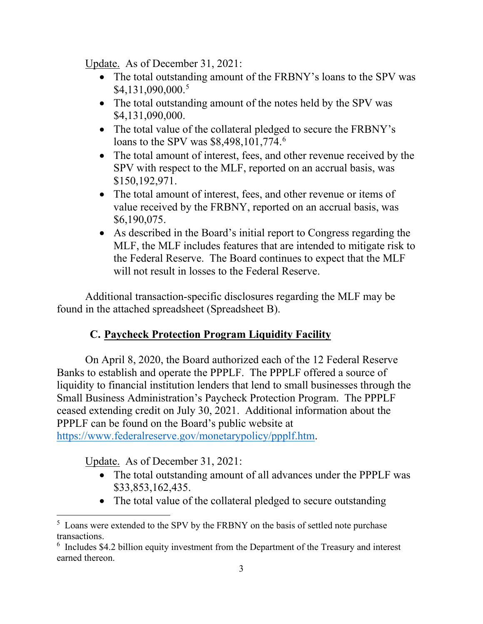Update. As of December 31, 2021:

- The total outstanding amount of the FRBNY's loans to the SPV was \$4,131,090,000. 5
- The total outstanding amount of the notes held by the SPV was \$4,131,090,000.
- The total value of the collateral pledged to secure the FRBNY's loans to the SPV was \$8,498,101,774.<sup>6</sup>
- The total amount of interest, fees, and other revenue received by the SPV with respect to the MLF, reported on an accrual basis, was \$150,192,971.
- The total amount of interest, fees, and other revenue or items of value received by the FRBNY, reported on an accrual basis, was \$6,190,075.
- As described in the Board's initial report to Congress regarding the MLF, the MLF includes features that are intended to mitigate risk to the Federal Reserve. The Board continues to expect that the MLF will not result in losses to the Federal Reserve.

Additional transaction-specific disclosures regarding the MLF may be found in the attached spreadsheet (Spreadsheet B).

# **C. Paycheck Protection Program Liquidity Facility**

On April 8, 2020, the Board authorized each of the 12 Federal Reserve Banks to establish and operate the PPPLF. The PPPLF offered a source of liquidity to financial institution lenders that lend to small businesses through the Small Business Administration's Paycheck Protection Program. The PPPLF ceased extending credit on July 30, 2021. Additional information about the PPPLF can be found on the Board's public website at https://www.federalreserve.gov/monetarypolicy/ppplf.htm.

Update. As of December 31, 2021:

- The total outstanding amount of all advances under the PPPLF was \$33,853,162,435.
- The total value of the collateral pledged to secure outstanding

<sup>&</sup>lt;sup>5</sup> Loans were extended to the SPV by the FRBNY on the basis of settled note purchase transactions.

<sup>&</sup>lt;sup>6</sup> Includes \$4.2 billion equity investment from the Department of the Treasury and interest earned thereon.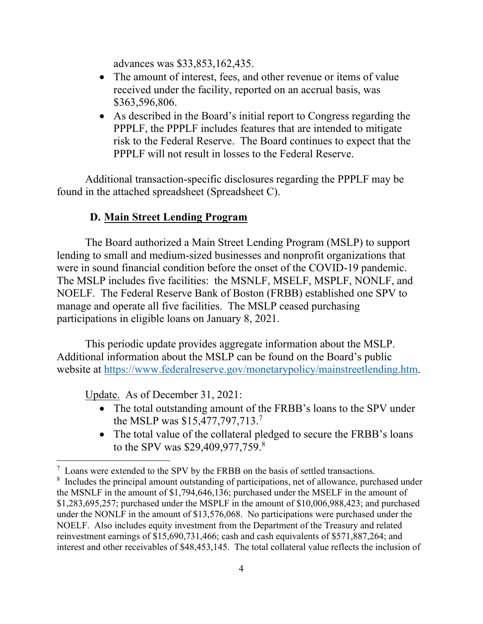advances was \$33,853,162,435.

- The amount of interest, fees, and other revenue or items of value received under the facility, reported on an accrual basis, was \$363,596,806.
- As described in the Board's initial report to Congress regarding the PPPLF, the PPPLF includes features that are intended to mitigate risk to the Federal Reserve. The Board continues to expect that the PPPLF will not result in losses to the Federal Reserve.

Additional transaction-specific disclosures regarding the PPPLF may be found in the attached spreadsheet (Spreadsheet C).

## **D. Main Street Lending Program**

The Board authorized a Main Street Lending Program (MSLP) to support lending to small and medium-sized businesses and nonprofit organizations that were in sound financial condition before the onset of the COVID-19 pandemic. The MSLP includes five facilities: the MSNLF, MSELF, MSPLF, NONLF, and NOELF. The Federal Reserve Bank of Boston (FRBB) established one SPV to manage and operate all five facilities. The MSLP ceased purchasing participations in eligible loans on January 8, 2021.

This periodic update provides aggregate information about the MSLP. Additional information about the MSLP can be found on the Board's public website at https://www.federalreserve.gov/monetarypolicy/mainstreetlending.htm.

Update. As of December 31, 2021:

- The total outstanding amount of the FRBB's loans to the SPV under the MSLP was \$15,477,797,713. 7
- The total value of the collateral pledged to secure the FRBB's loans to the SPV was \$29,409,977,759.<sup>8</sup>

 $7$  Loans were extended to the SPV by the FRBB on the basis of settled transactions.

<sup>&</sup>lt;sup>8</sup> Includes the principal amount outstanding of participations, net of allowance, purchased under the MSNLF in the amount of \$1,794,646,136; purchased under the MSELF in the amount of \$1,283,695,257; purchased under the MSPLF in the amount of \$10,006,988,423; and purchased under the NONLF in the amount of \$13,576,068. No participations were purchased under the NOELF. Also includes equity investment from the Department of the Treasury and related reinvestment earnings of \$15,690,731,466; cash and cash equivalents of \$571,887,264; and interest and other receivables of \$48,453,145. The total collateral value reflects the inclusion of